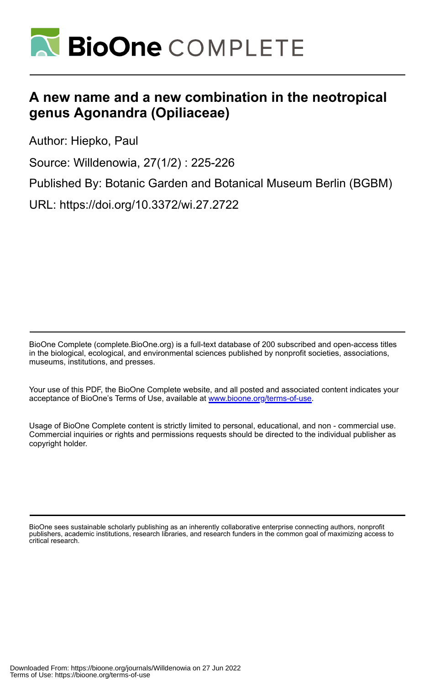

# **A new name and a new combination in the neotropical genus Agonandra (Opiliaceae)**

Author: Hiepko, Paul

Source: Willdenowia, 27(1/2) : 225-226

Published By: Botanic Garden and Botanical Museum Berlin (BGBM)

URL: https://doi.org/10.3372/wi.27.2722

BioOne Complete (complete.BioOne.org) is a full-text database of 200 subscribed and open-access titles in the biological, ecological, and environmental sciences published by nonprofit societies, associations, museums, institutions, and presses.

Your use of this PDF, the BioOne Complete website, and all posted and associated content indicates your acceptance of BioOne's Terms of Use, available at www.bioone.org/terms-of-use.

Usage of BioOne Complete content is strictly limited to personal, educational, and non - commercial use. Commercial inquiries or rights and permissions requests should be directed to the individual publisher as copyright holder.

BioOne sees sustainable scholarly publishing as an inherently collaborative enterprise connecting authors, nonprofit publishers, academic institutions, research libraries, and research funders in the common goal of maximizing access to critical research.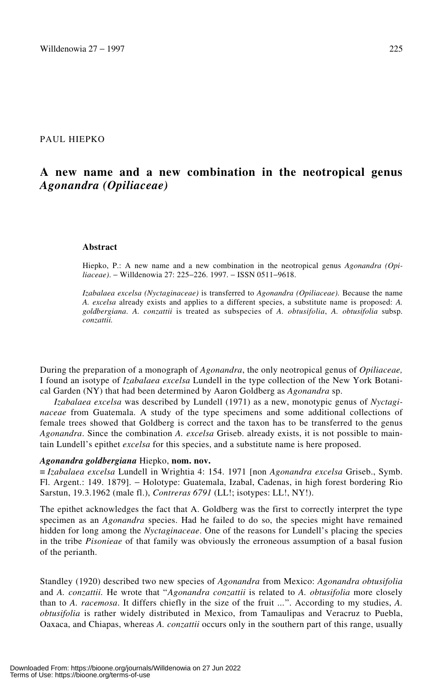#### PAUL HIEPKO

## **A new name and a new combination in the neotropical genus** *Agonandra (Opiliaceae)*

#### **Abstract**

Hiepko, P.: A new name and a new combination in the neotropical genus *Agonandra (Opiliaceae)*. − Willdenowia 27: 225−226. 1997. − ISSN 0511−9618.

*Izabalaea excelsa (Nyctaginaceae)* is transferred to *Agonandra (Opiliaceae).* Because the name *A. excelsa* already exists and applies to a different species, a substitute name is proposed: *A. goldbergiana*. *A. conzattii* is treated as subspecies of *A. obtusifolia*, *A. obtusifolia* subsp. *conzattii.*

During the preparation of a monograph of *Agonandra*, the only neotropical genus of *Opiliaceae,* I found an isotype of *Izabalaea excelsa* Lundell in the type collection of the New York Botanical Garden (NY) that had been determined by Aaron Goldberg as *Agonandra* sp.

*Izabalaea excelsa* was described by Lundell (1971) as a new, monotypic genus of *Nyctaginaceae* from Guatemala. A study of the type specimens and some additional collections of female trees showed that Goldberg is correct and the taxon has to be transferred to the genus *Agonandra*. Since the combination *A. excelsa* Griseb. already exists, it is not possible to maintain Lundell's epithet *excelsa* for this species, and a substitute name is here proposed.

#### *Agonandra goldbergiana* Hiepko, **nom. nov.**

≡ *Izabalaea excelsa* Lundell in Wrightia 4: 154. 1971 [non *Agonandra excelsa* Griseb., Symb. Fl. Argent.: 149. 1879]. − Holotype: Guatemala, Izabal, Cadenas, in high forest bordering Rio Sarstun, 19.3.1962 (male fl.), *Contreras 6791* (LL!; isotypes: LL!, NY!).

The epithet acknowledges the fact that A. Goldberg was the first to correctly interpret the type specimen as an *Agonandra* species. Had he failed to do so, the species might have remained hidden for long among the *Nyctaginaceae*. One of the reasons for Lundell's placing the species in the tribe *Pisonieae* of that family was obviously the erroneous assumption of a basal fusion of the perianth.

Standley (1920) described two new species of *Agonandra* from Mexico: *Agonandra obtusifolia* and *A. conzattii.* He wrote that †*Agonandra conzattii* is related to *A. obtusifolia* more closely than to *A. racemosa*. It differs chiefly in the size of the fruit ...". According to my studies, *A*. *obtusifolia* is rather widely distributed in Mexico, from Tamaulipas and Veracruz to Puebla, Oaxaca, and Chiapas, whereas *A. conzattii* occurs only in the southern part of this range, usually